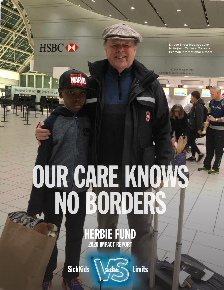

Baggage Drop-off

**MARVA** 

Dr. Lee Errett bids goodbye to Hojhani Taffee at Toronto Pearson International Airport

**Check-in Counters** ptoirs d'enregistrement

## OUR CARE KNOWS NO BORDERS

HERBIE FUND 2020 IMPACT REPORT

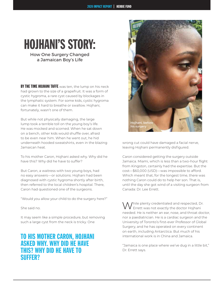## HOJHANI'S STORY:

How One Surgery Changed a Jamaican Boy's Life

**BY THE TIME HOJHANI TAFFE** was ten, the lump on his neck had grown to the size of a grapefruit. It was a form of cystic hygroma, a rare cyst caused by blockages in the lymphatic system. For some kids, cystic hygroma can make it hard to breathe or swallow. Hojhani, fortunately, wasn't one of them.

But while not physically damaging, the large lump took a terrible toll on the young boy's life. He was mocked and scorned. When he sat down on a bench, other kids would shuffle over, afraid to be even near him. When he went out, he hid underneath hooded sweatshirts, even in the blazing Jamaican heat.

To his mother Caron, Hojhani asked why. Why did he have this? Why did he have to suffer?

But Caron, a waitress with two young boys, had no easy answers—or solutions. Hojhani had been diagnosed with cystic hygroma shortly after birth, then referred to the local children's hospital. There, Caron had questioned one of the surgeons.

"Would you allow your child to do the surgery here?"

She said no.

It may seem like a simple procedure, but removing such a large cyst from the neck is tricky. One

## TO HIS MOTHER CARON, HOJHANI ASKED WHY. WHY DID HE HAVE THIS? WHY DID HE HAVE TO SUFFER?



wrong cut could have damaged a facial nerve, leaving Hojhani permanently disfigured.

Caron considered getting the surgery outside Jamaica. Miami, which is less than a two-hour flight from Kingston, certainly had the expertise. But the cost—\$60,000 (USD)—was impossible to afford. Which meant that, for the longest time, there was nothing Caron could do to help her son. That is, until the day she got wind of a visiting surgeon from Canada: Dr. Lee Errett.

/hile plenty credentialed and respected, Dr. Errett was not exactly the doctor Hojhani needed. He is neither an ear, nose, and throat doctor, nor a paediatrician. He is a cardiac surgeon and the University of Toronto's first-ever Professor of Global Surgery, and he has operated on every continent on earth, including Antarctica. But much of his international work is in China and Jamaica.

"Jamaica is one place where we've dug in a little bit," Dr. Errett says.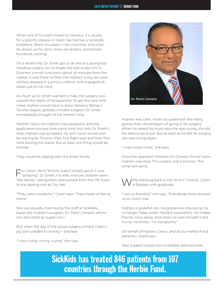When one of his team travels to Jamaica, it's usually for a specific disease or need, like hernias or prostate problems. Word circulates in the churches, and when he shows up for clinic, there are dozens, sometimes hundreds, waiting.

On a recent trip, Dr. Errett got a call about a young boy needing surgery. So, he made the trek to see him in Ewarton, a small rural town about 45 minutes from the capital. It was there he first met Hojhani: a shy, ten-yearold boy dressed in a school uniform, with a grapefruitsized cyst on his neck.

As much as Dr. Errett wanted to help, the surgery was outside the realm of his expertise. To get the care he'd need, Hojhani would have to leave Jamaica. Being a Toronto-based, globally-minded surgeon, Dr. Errett immediately thought of the Herbie Fund.

Neither Caron nor Hojhani had passports, and the application process took some time, but with Dr. Errett's help, Hojhani was accepted. He and Caron would soon be leaving for Toronto, their first flight ever and their first time leaving the island. But at least one thing would be familiar.

They would be staying with the Errett family.

For Caron, life in Toronto wasn't simply good, it was "amazing." Dr. Errett, his wife, and two children were "like family," taking them everywhere from the CN Tower to the skating rink at City Hall.

"They were wonderful," Caron says. "They made us feel at home."

She was equally charmed by the staff at SickKids, especially Hojhani's surgeon, Dr. Paolo Campisi, whom she described as "super nice."

But when the day of the actual surgery arrived, Caron's joy soon yielded to anxiety—and fear.

"I was crying, crying, crying," she says.



Hojhani was calm, more occupied with the many games than the prospect of going in for surgery. When he asked his mom why she was crying, she did her best to be brave. But as soon as he left for surgery, she was crying again.

"I was a total mess," she says.

Once the operation finished, Dr. Campisi found Caron. Hojhani was okay. The surgery was a success. The lump was gone.

While thinking back to her time in Toronto, Caron is flooded with gratitude.

"I am so thankful," she says. "Everybody there showed us so much love."

Hojhani is grateful, too. His grades are improving. He no longer hides under hooded sweatshirts. He makes friends more easily. And when he sees himself in the mirror, he thinks, "I'm handsome."

On behalf of Hojhani, Caron, and all our Herbie Fund patients—thank you.

Your support makes this incredible work possible.

 SickKids has treated 846 patients from 107 countries through the Herbie Fund.